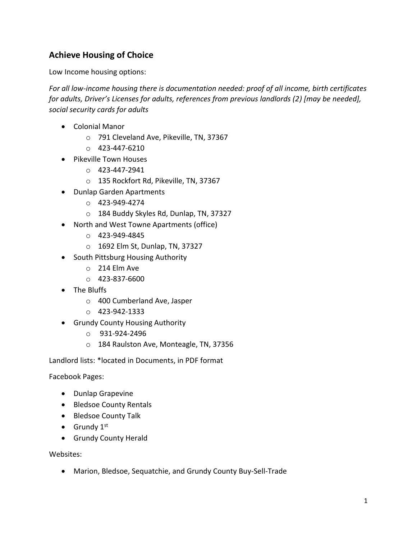## **Achieve Housing of Choice**

Low Income housing options:

*For all low-income housing there is documentation needed: proof of all income, birth certificates for adults, Driver's Licenses for adults, references from previous landlords (2) [may be needed], social security cards for adults*

- Colonial Manor
	- o 791 Cleveland Ave, Pikeville, TN, 37367
	- $O$  423-447-6210
- Pikeville Town Houses
	- o 423-447-2941
	- o 135 Rockfort Rd, Pikeville, TN, 37367
- Dunlap Garden Apartments
	- $O$  423-949-4274
	- o 184 Buddy Skyles Rd, Dunlap, TN, 37327
- North and West Towne Apartments (office)
	- o 423-949-4845
	- o 1692 Elm St, Dunlap, TN, 37327
- South Pittsburg Housing Authority
	- o 214 Elm Ave
	- $O$  423-837-6600
- The Bluffs
	- o 400 Cumberland Ave, Jasper
	- o 423-942-1333
- Grundy County Housing Authority
	- o 931-924-2496
	- o 184 Raulston Ave, Monteagle, TN, 37356

Landlord lists: \*located in Documents, in PDF format

Facebook Pages:

- Dunlap Grapevine
- Bledsoe County Rentals
- Bledsoe County Talk
- Grundy  $1<sup>st</sup>$
- Grundy County Herald

Websites:

• Marion, Bledsoe, Sequatchie, and Grundy County Buy-Sell-Trade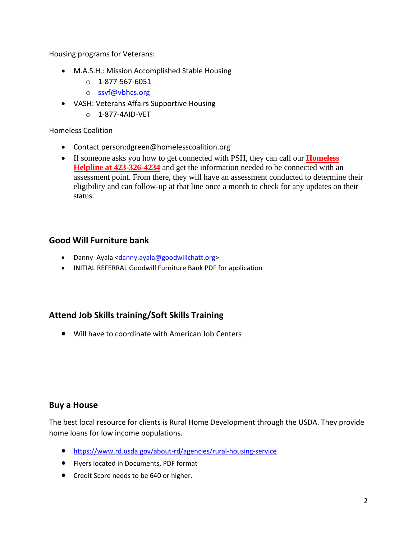Housing programs for Veterans:

- M.A.S.H.: Mission Accomplished Stable Housing
	- o 1-877-567-6051
	- o [ssvf@vbhcs.org](mailto:ssvf@vbhcs.org)
- VASH: Veterans Affairs Supportive Housing
	- o 1-877-4AID-VET

#### Homeless Coalition

- Contact person:dgreen@homelesscoalition.org
- If someone asks you how to get connected with PSH, they can call our **Homeless Helpline at 423-326-4234** and get the information needed to be connected with an assessment point. From there, they will have an assessment conducted to determine their eligibility and can follow-up at that line once a month to check for any updates on their status.

#### **Good Will Furniture bank**

- Danny Ayala [<danny.ayala@goodwillchatt.org>](mailto:danny.ayala@goodwillchatt.org)
- INITIAL REFERRAL Goodwill Furniture Bank PDF for application

#### **Attend Job Skills training/Soft Skills Training**

• Will have to coordinate with American Job Centers

#### **Buy a House**

The best local resource for clients is Rural Home Development through the USDA. They provide home loans for low income populations.

- <https://www.rd.usda.gov/about-rd/agencies/rural-housing-service>
- Flyers located in Documents, PDF format
- Credit Score needs to be 640 or higher.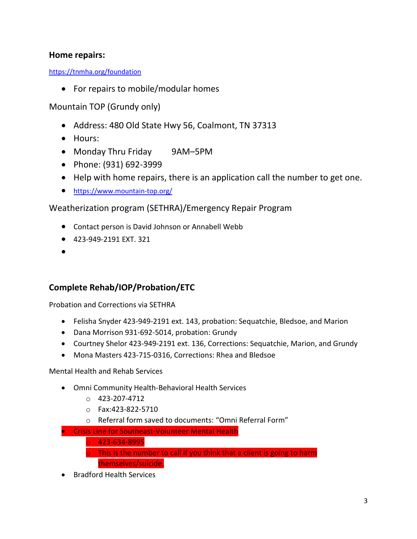## **Home repairs:**

<https://tnmha.org/foundation>

• For repairs to mobile/modular homes

Mountain TOP (Grundy only)

- Address: 480 Old State Hwy 56, Coalmont, TN 37313
- Hours:
- Monday Thru Friday 9AM-5PM
- Phone: (931) 692-3999
- Help with home repairs, there is an application call the number to get one.
- <https://www.mountain-top.org/>

Weatherization program (SETHRA)/Emergency Repair Program

- Contact person is David Johnson or Annabell Webb
- 423-949-2191 EXT. 321
- •

## **Complete Rehab/IOP/Probation/ETC**

Probation and Corrections via SETHRA

- Felisha Snyder 423-949-2191 ext. 143, probation: Sequatchie, Bledsoe, and Marion
- Dana Morrison 931-692-5014, probation: Grundy
- Courtney Shelor 423-949-2191 ext. 136, Corrections: Sequatchie, Marion, and Grundy
- Mona Masters 423-715-0316, Corrections: Rhea and Bledsoe

Mental Health and Rehab Services

- Omni Community Health-Behavioral Health Services
	- o 423-207-4712
	- o Fax:423-822-5710
	- o Referral form saved to documents: "Omni Referral Form"
- Crisis Line for Southeast-Volunteer Mental Health
	- $0423 634 8995$
	- $\circ$  This is the number to call if you think that a client is going to harm themselves/suicide.
- Bradford Health Services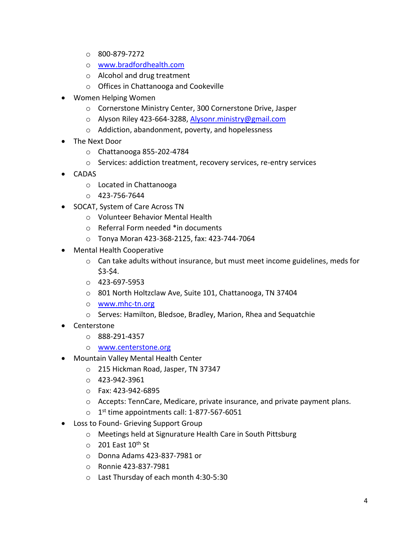- o 800-879-7272
- o [www.bradfordhealth.com](http://www.bradfordhealth.com/)
- o Alcohol and drug treatment
- o Offices in Chattanooga and Cookeville
- Women Helping Women
	- o Cornerstone Ministry Center, 300 Cornerstone Drive, Jasper
	- o Alyson Riley 423-664-3288, [Alysonr.ministry@gmail.com](mailto:Alysonr.ministry@gmail.com)
	- o Addiction, abandonment, poverty, and hopelessness
- The Next Door
	- o Chattanooga 855-202-4784
	- o Services: addiction treatment, recovery services, re-entry services
- CADAS
	- o Located in Chattanooga
	- $O$  423-756-7644
- SOCAT, System of Care Across TN
	- o Volunteer Behavior Mental Health
	- o Referral Form needed \*in documents
	- o Tonya Moran 423-368-2125, fax: 423-744-7064
- Mental Health Cooperative
	- o Can take adults without insurance, but must meet income guidelines, meds for \$3-\$4.
	- $O$  423-697-5953
	- o 801 North Holtzclaw Ave, Suite 101, Chattanooga, TN 37404
	- o [www.mhc-tn.org](http://www.mhc-tn.org/)
	- o Serves: Hamilton, Bledsoe, Bradley, Marion, Rhea and Sequatchie
- Centerstone
	- o 888-291-4357
	- o [www.centerstone.org](http://www.centerstone.org/)
- Mountain Valley Mental Health Center
	- o 215 Hickman Road, Jasper, TN 37347
	- o 423-942-3961
	- o Fax: 423-942-6895
	- $\circ$  Accepts: TennCare, Medicare, private insurance, and private payment plans.
	- $\circ$  1<sup>st</sup> time appointments call: 1-877-567-6051
- Loss to Found- Grieving Support Group
	- o Meetings held at Signurature Health Care in South Pittsburg
	- $\circ$  201 East 10<sup>th</sup> St
	- o Donna Adams 423-837-7981 or
	- o Ronnie 423-837-7981
	- o Last Thursday of each month 4:30-5:30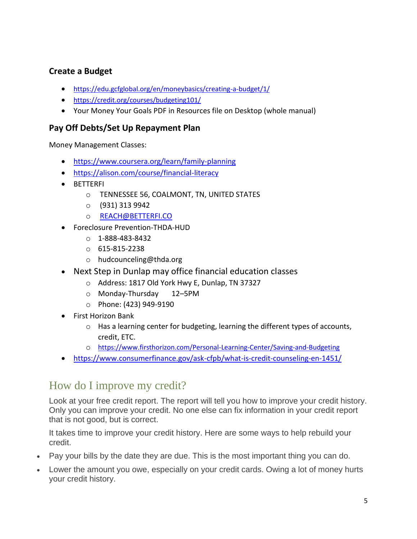## **Create a Budget**

- <https://edu.gcfglobal.org/en/moneybasics/creating-a-budget/1/>
- <https://credit.org/courses/budgeting101/>
- Your Money Your Goals PDF in Resources file on Desktop (whole manual)

## **Pay Off Debts/Set Up Repayment Plan**

Money Management Classes:

- <https://www.coursera.org/learn/family-planning>
- <https://alison.com/course/financial-literacy>
- BETTERFI
	- o TENNESSEE 56, COALMONT, TN, UNITED STATES
	- o (931) 313 9942
	- o [REACH@BETTERFI.CO](mailto:REACH@BETTERFI.CO)
- Foreclosure Prevention-THDA-HUD
	- o 1-888-483-8432
	- o 615-815-2238
	- o hudcounceling@thda.org
- Next Step in Dunlap may office financial education classes
	- o Address: 1817 Old York Hwy E, Dunlap, TN 37327
	- o Monday-Thursday 12–5PM
	- o Phone: (423) 949-9190
- First Horizon Bank
	- $\circ$  Has a learning center for budgeting, learning the different types of accounts, credit, ETC.
	- o <https://www.firsthorizon.com/Personal-Learning-Center/Saving-and-Budgeting>
- <https://www.consumerfinance.gov/ask-cfpb/what-is-credit-counseling-en-1451/>

## How do I improve my credit?

Look at your free credit report. The report will tell you how to improve your credit history. Only you can improve your credit. No one else can fix information in your credit report that is not good, but is correct.

It takes time to improve your credit history. Here are some ways to help rebuild your credit.

- Pay your bills by the date they are due. This is the most important thing you can do.
- Lower the amount you owe, especially on your credit cards. Owing a lot of money hurts your credit history.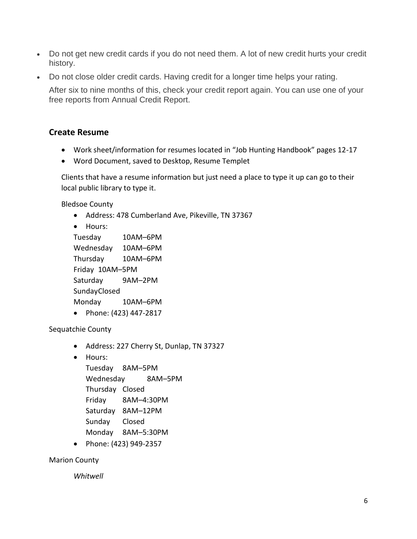- Do not get new credit cards if you do not need them. A lot of new credit hurts your credit history.
- Do not close older credit cards. Having credit for a longer time helps your rating.

After six to nine months of this, check your credit report again. You can use one of your free reports from Annual Credit Report.

#### **Create Resume**

- Work sheet/information for resumes located in "Job Hunting Handbook" pages 12-17
- Word Document, saved to Desktop, Resume Templet

Clients that have a resume information but just need a place to type it up can go to their local public library to type it.

Bledsoe County

• Address: 478 Cumberland Ave, Pikeville, TN 37367

```
• Hours: 
Tuesday 10AM–6PM
Wednesday 10AM–6PM
Thursday 10AM–6PM
Friday 10AM–5PM
Saturday 9AM–2PM
SundayClosed
Monday 10AM–6PM
```
• Phone: (423) 447-2817

Sequatchie County

- Address: 227 Cherry St, Dunlap, TN 37327
- Hours:

Tuesday 8AM–5PM Wednesday 8AM–5PM Thursday Closed Friday 8AM–4:30PM Saturday 8AM–12PM Sunday Closed Monday 8AM–5:30PM

• Phone: (423) 949-2357

Marion County

*Whitwell*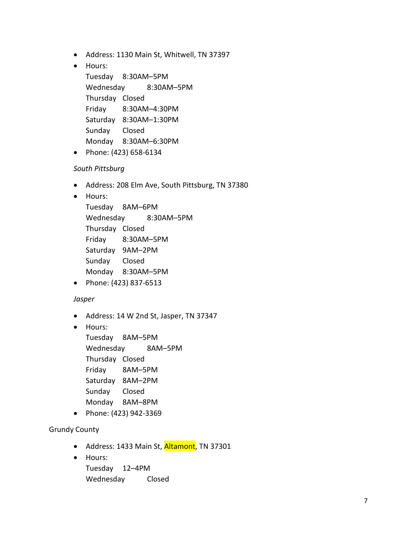- Address: 1130 Main St, Whitwell, TN 37397
- Hours:

Tuesday 8:30AM–5PM Wednesday 8:30AM–5PM Thursday Closed Friday 8:30AM–4:30PM Saturday 8:30AM–1:30PM Sunday Closed Monday 8:30AM–6:30PM

• Phone: (423) 658-6134

#### *South Pittsburg*

- Address: 208 Elm Ave, South Pittsburg, TN 37380
- Hours:

Tuesday 8AM–6PM Wednesday 8:30AM–5PM Thursday Closed Friday 8:30AM–5PM Saturday 9AM–2PM Sunday Closed Monday 8:30AM–5PM

• Phone: (423) 837-6513

#### *Jasper*

- Address: 14 W 2nd St, Jasper, TN 37347
- Hours:

Tuesday 8AM–5PM Wednesday 8AM–5PM Thursday Closed Friday 8AM–5PM Saturday 8AM–2PM Sunday Closed Monday 8AM–8PM

• Phone: (423) 942-3369

#### Grundy County

- Address: 1433 Main St, Altamont, TN 37301
- Hours:

Tuesday 12–4PM Wednesday Closed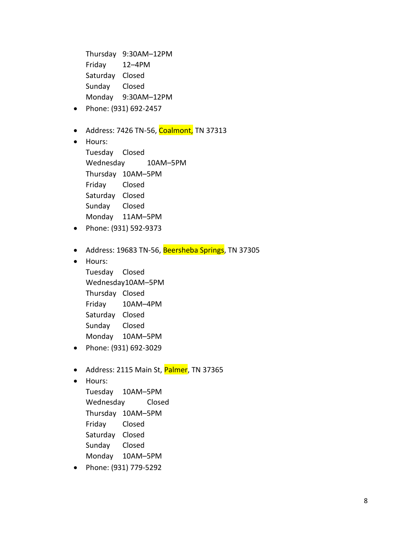Thursday 9:30AM–12PM Friday 12–4PM Saturday Closed Sunday Closed Monday 9:30AM–12PM

- Phone: (931) 692-2457
- Address: 7426 TN-56, Coalmont, TN 37313
- Hours:

Tuesday Closed Wednesday 10AM–5PM Thursday 10AM–5PM Friday Closed Saturday Closed Sunday Closed Monday 11AM–5PM

- Phone: (931) 592-9373
- Address: 19683 TN-56, Beersheba Springs, TN 37305
- Hours:

Tuesday Closed Wednesday10AM–5PM Thursday Closed Friday 10AM–4PM Saturday Closed Sunday Closed Monday 10AM–5PM

- Phone: (931) 692-3029
- Address: 2115 Main St, Palmer, TN 37365
- Hours:

Tuesday 10AM–5PM Wednesday Closed Thursday 10AM–5PM Friday Closed Saturday Closed Sunday Closed Monday 10AM–5PM

• Phone: (931) 779-5292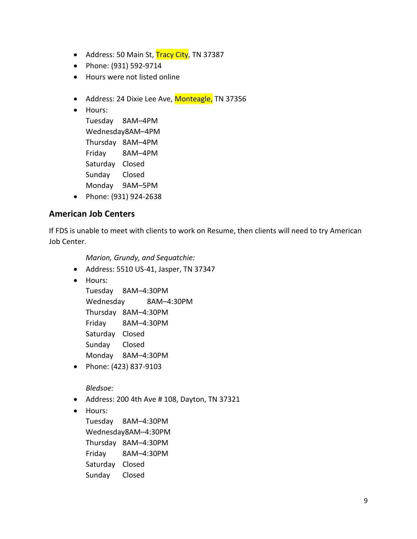- Address: 50 Main St, Tracy City, TN 37387
- Phone: (931) 592-9714
- Hours were not listed online
- Address: 24 Dixie Lee Ave, Monteagle, TN 37356
- Hours:

Tuesday 8AM–4PM Wednesday8AM–4PM Thursday 8AM–4PM Friday 8AM–4PM Saturday Closed Sunday Closed Monday 9AM–5PM

• Phone: (931) 924-2638

## **American Job Centers**

If FDS is unable to meet with clients to work on Resume, then clients will need to try American Job Center.

*Marion, Grundy, and Sequatchie:*

- Address: 5510 US-41, Jasper, TN 37347
- Hours:

Tuesday 8AM–4:30PM Wednesday 8AM–4:30PM Thursday 8AM–4:30PM Friday 8AM–4:30PM Saturday Closed Sunday Closed Monday 8AM–4:30PM

• Phone: (423) 837-9103

*Bledsoe:*

- Address: 200 4th Ave # 108, Dayton, TN 37321
- Hours:

Tuesday 8AM–4:30PM Wednesday8AM–4:30PM Thursday 8AM–4:30PM Friday 8AM–4:30PM Saturday Closed Sunday Closed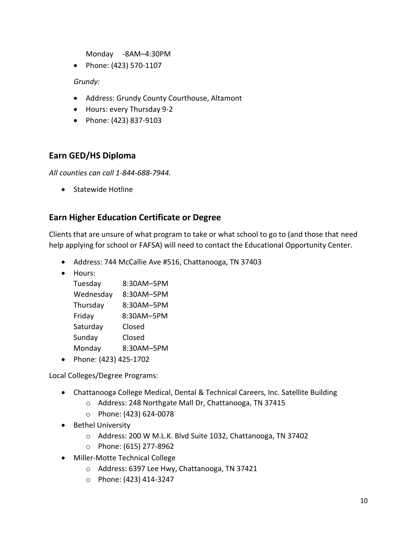Monday -8AM–4:30PM

• Phone: (423) 570-1107

*Grundy:* 

- Address: Grundy County Courthouse, Altamont
- Hours: every Thursday 9-2
- Phone: (423) 837-9103

## **Earn GED/HS Diploma**

*All counties can call 1-844-688-7944.*

• Statewide Hotline

## **Earn Higher Education Certificate or Degree**

Clients that are unsure of what program to take or what school to go to (and those that need help applying for school or FAFSA) will need to contact the Educational Opportunity Center.

- Address: 744 McCallie Ave #516, Chattanooga, TN 37403
- Hours:

| Tuesday   | 8:30AM-5PM |
|-----------|------------|
| Wednesday | 8:30AM-5PM |
| Thursday  | 8:30AM-5PM |
| Friday    | 8:30AM-5PM |
| Saturday  | Closed     |
| Sunday    | Closed     |
| Monday    | 8:30AM-5PM |
|           |            |

• Phone: (423) 425-1702

Local Colleges/Degree Programs:

- Chattanooga College Medical, Dental & Technical Careers, Inc. Satellite Building
	- o Address: 248 Northgate Mall Dr, Chattanooga, TN 37415
	- o Phone: (423) 624-0078
- Bethel University
	- o Address: 200 W M.L.K. Blvd Suite 1032, Chattanooga, TN 37402
	- o Phone: (615) 277-8962
- Miller-Motte Technical College
	- o Address: 6397 Lee Hwy, Chattanooga, TN 37421
	- o Phone: (423) 414-3247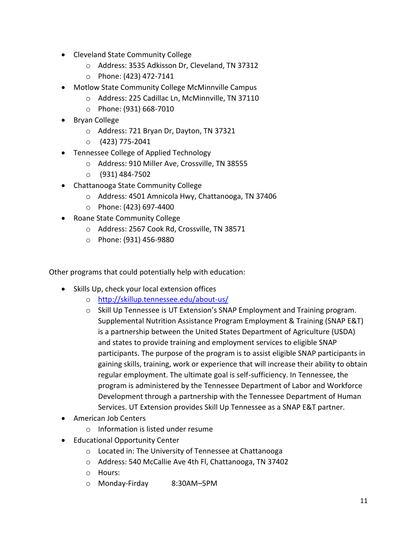- Cleveland State Community College
	- o Address: 3535 Adkisson Dr, Cleveland, TN 37312
	- o Phone: (423) 472-7141
- Motlow State Community College McMinnville Campus
	- o Address: 225 Cadillac Ln, McMinnville, TN 37110
	- o Phone: (931) 668-7010
- Bryan College
	- o Address: 721 Bryan Dr, Dayton, TN 37321
	- o (423) 775-2041
- Tennessee College of Applied Technology
	- o Address: 910 Miller Ave, Crossville, TN 38555
	- o (931) 484-7502
- Chattanooga State Community College
	- o Address: 4501 Amnicola Hwy, Chattanooga, TN 37406
	- o Phone: (423) 697-4400
- Roane State Community College
	- o Address: 2567 Cook Rd, Crossville, TN 38571
	- o Phone: (931) 456-9880

Other programs that could potentially help with education:

- Skills Up, check your local extension offices
	- o <http://skillup.tennessee.edu/about-us/>
	- $\circ$  Skill Up Tennessee is UT Extension's SNAP Employment and Training program. Supplemental Nutrition Assistance Program Employment & Training (SNAP E&T) is a partnership between the United States Department of Agriculture (USDA) and states to provide training and employment services to eligible SNAP participants. The purpose of the program is to assist eligible SNAP participants in gaining skills, training, work or experience that will increase their ability to obtain regular employment. The ultimate goal is self-sufficiency. In Tennessee, the program is administered by the Tennessee Department of Labor and Workforce Development through a partnership with the Tennessee Department of Human Services. UT Extension provides Skill Up Tennessee as a SNAP E&T partner.
- American Job Centers
	- o Information is listed under resume
- Educational Opportunity Center
	- o Located in: The University of Tennessee at Chattanooga
	- o Address: 540 McCallie Ave 4th Fl, Chattanooga, TN 37402
	- o Hours:
	- o Monday-Firday 8:30AM–5PM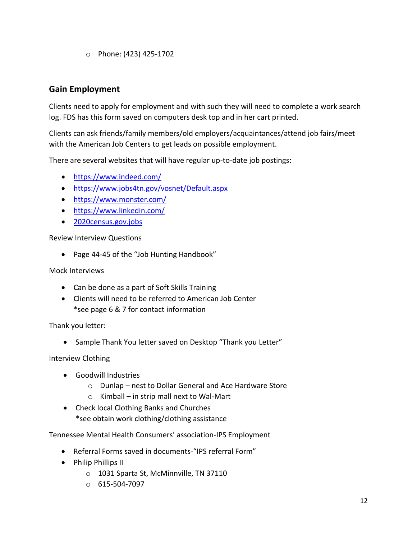o Phone: (423) 425-1702

## **Gain Employment**

Clients need to apply for employment and with such they will need to complete a work search log. FDS has this form saved on computers desk top and in her cart printed.

Clients can ask friends/family members/old employers/acquaintances/attend job fairs/meet with the American Job Centers to get leads on possible employment.

There are several websites that will have regular up-to-date job postings:

- <https://www.indeed.com/>
- <https://www.jobs4tn.gov/vosnet/Default.aspx>
- <https://www.monster.com/>
- <https://www.linkedin.com/>
- 2020census.gov.jobs

Review Interview Questions

• Page 44-45 of the "Job Hunting Handbook"

Mock Interviews

- Can be done as a part of Soft Skills Training
- Clients will need to be referred to American Job Center \*see page 6 & 7 for contact information

Thank you letter:

• Sample Thank You letter saved on Desktop "Thank you Letter"

Interview Clothing

- Goodwill Industries
	- o Dunlap nest to Dollar General and Ace Hardware Store
	- o Kimball in strip mall next to Wal-Mart
- Check local Clothing Banks and Churches \*see obtain work clothing/clothing assistance

Tennessee Mental Health Consumers' association-IPS Employment

- Referral Forms saved in documents-"IPS referral Form"
- Philip Phillips II
	- o 1031 Sparta St, McMinnville, TN 37110
	- o 615-504-7097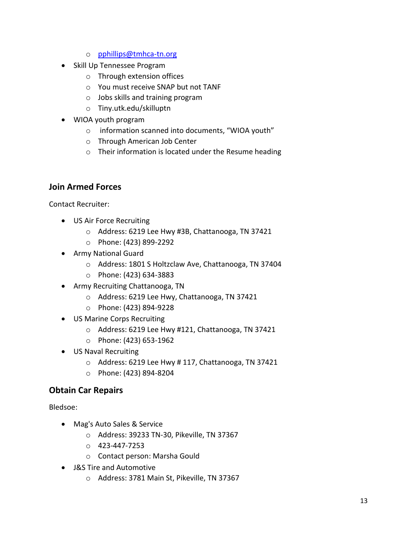- o [pphillips@tmhca-tn.org](mailto:pphillips@tmhca-tn.org)
- Skill Up Tennessee Program
	- o Through extension offices
	- o You must receive SNAP but not TANF
	- o Jobs skills and training program
	- o Tiny.utk.edu/skilluptn
- WIOA youth program
	- o information scanned into documents, "WIOA youth"
	- o Through American Job Center
	- o Their information is located under the Resume heading

## **Join Armed Forces**

Contact Recruiter:

- US Air Force Recruiting
	- o Address: 6219 Lee Hwy #3B, Chattanooga, TN 37421
	- o Phone: (423) 899-2292
- Army National Guard
	- o Address: 1801 S Holtzclaw Ave, Chattanooga, TN 37404
	- o Phone: (423) 634-3883
- Army Recruiting Chattanooga, TN
	- o Address: 6219 Lee Hwy, Chattanooga, TN 37421
	- o Phone: (423) 894-9228
- US Marine Corps Recruiting
	- o Address: 6219 Lee Hwy #121, Chattanooga, TN 37421
	- o Phone: (423) 653-1962
- US Naval Recruiting
	- o Address: 6219 Lee Hwy # 117, Chattanooga, TN 37421
	- o Phone: (423) 894-8204

## **Obtain Car Repairs**

Bledsoe:

- Mag's Auto Sales & Service
	- o Address: 39233 TN-30, Pikeville, TN 37367
	- o 423-447-7253
	- o Contact person: Marsha Gould
- J&S Tire and Automotive
	- o Address: 3781 Main St, Pikeville, TN 37367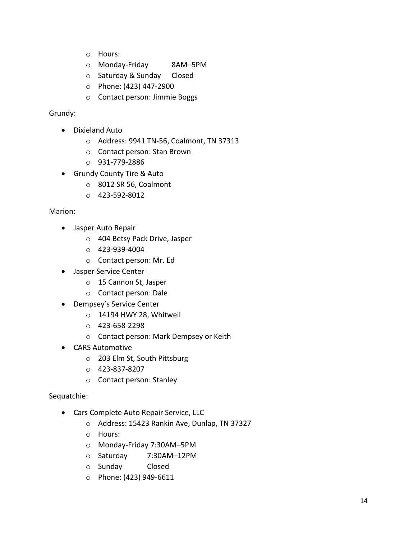- o Hours:
- o Monday-Friday 8AM–5PM
- o Saturday & Sunday Closed
- o Phone: (423) 447-2900
- o Contact person: Jimmie Boggs

#### Grundy:

- Dixieland Auto
	- o Address: 9941 TN-56, Coalmont, TN 37313
	- o Contact person: Stan Brown
	- o 931-779-2886
- Grundy County Tire & Auto
	- o 8012 SR 56, Coalmont
	- o 423-592-8012

#### Marion:

- Jasper Auto Repair
	- o 404 Betsy Pack Drive, Jasper
	- o 423-939-4004
	- o Contact person: Mr. Ed
- Jasper Service Center
	- o 15 Cannon St, Jasper
	- o Contact person: Dale
- Dempsey's Service Center
	- o 14194 HWY 28, Whitwell
	- o 423-658-2298
	- o Contact person: Mark Dempsey or Keith
- CARS Automotive
	- o 203 Elm St, South Pittsburg
	- o 423-837-8207
	- o Contact person: Stanley

#### Sequatchie:

- Cars Complete Auto Repair Service, LLC
	- o Address: 15423 Rankin Ave, Dunlap, TN 37327
	- o Hours:
	- o Monday-Friday 7:30AM–5PM
	- o Saturday 7:30AM–12PM
	- o Sunday Closed
	- o Phone: (423) 949-6611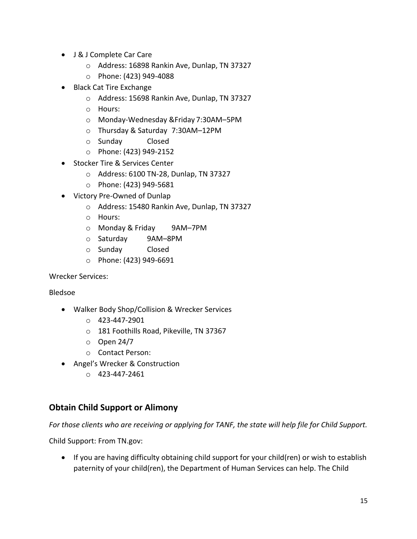- J & J Complete Car Care
	- o Address: 16898 Rankin Ave, Dunlap, TN 37327
	- o Phone: (423) 949-4088
- Black Cat Tire Exchange
	- o Address: 15698 Rankin Ave, Dunlap, TN 37327
	- o Hours:
	- o Monday-Wednesday &Friday 7:30AM–5PM
	- o Thursday & Saturday 7:30AM–12PM
	- o Sunday Closed
	- o Phone: (423) 949-2152
- Stocker Tire & Services Center
	- o Address: 6100 TN-28, Dunlap, TN 37327
	- o Phone: (423) 949-5681
- Victory Pre-Owned of Dunlap
	- o Address: 15480 Rankin Ave, Dunlap, TN 37327
	- o Hours:
	- o Monday & Friday 9AM–7PM
	- o Saturday 9AM–8PM
	- o Sunday Closed
	- o Phone: (423) 949-6691

Wrecker Services:

#### Bledsoe

- Walker Body Shop/Collision & Wrecker Services
	- $O$  423-447-2901
	- o 181 Foothills Road, Pikeville, TN 37367
	- $O$  Open 24/7
	- o Contact Person:
- Angel's Wrecker & Construction
	- $O$  423-447-2461

## **Obtain Child Support or Alimony**

*For those clients who are receiving or applying for TANF, the state will help file for Child Support.*

Child Support: From TN.gov:

• If you are having difficulty obtaining child support for your child(ren) or wish to establish paternity of your child(ren), the Department of Human Services can help. The Child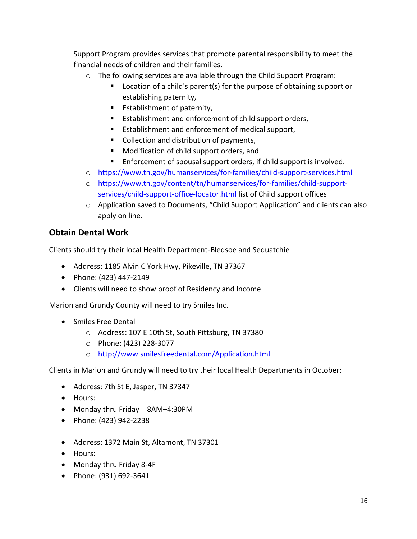Support Program provides services that promote parental responsibility to meet the financial needs of children and their families.

- o The following services are available through the Child Support Program:
	- Location of a child's parent(s) for the purpose of obtaining support or establishing paternity,
	- Establishment of paternity,
	- Establishment and enforcement of child support orders,
	- Establishment and enforcement of medical support,
	- Collection and distribution of payments,
	- Modification of child support orders, and
	- Enforcement of spousal support orders, if child support is involved.
- o <https://www.tn.gov/humanservices/for-families/child-support-services.html>
- o [https://www.tn.gov/content/tn/humanservices/for-families/child-support](https://www.tn.gov/content/tn/humanservices/for-families/child-support-services/child-support-office-locator.html)[services/child-support-office-locator.html](https://www.tn.gov/content/tn/humanservices/for-families/child-support-services/child-support-office-locator.html) list of Child support offices
- o Application saved to Documents, "Child Support Application" and clients can also apply on line.

## **Obtain Dental Work**

Clients should try their local Health Department-Bledsoe and Sequatchie

- Address: 1185 Alvin C York Hwy, Pikeville, TN 37367
- Phone: (423) 447-2149
- Clients will need to show proof of Residency and Income

Marion and Grundy County will need to try Smiles Inc.

- Smiles Free Dental
	- o Address: 107 E 10th St, South Pittsburg, TN 37380
	- o Phone: (423) 228-3077
	- o <http://www.smilesfreedental.com/Application.html>

Clients in Marion and Grundy will need to try their local Health Departments in October:

- Address: 7th St E, Jasper, TN 37347
- Hours:
- Monday thru Friday 8AM–4:30PM
- Phone: (423) 942-2238
- Address: 1372 Main St, Altamont, TN 37301
- Hours:
- Monday thru Friday 8-4F
- Phone: (931) 692-3641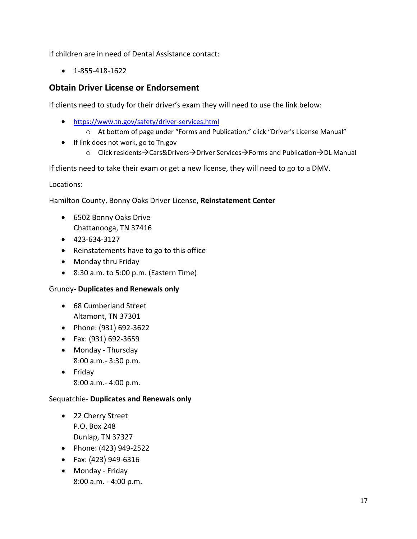If children are in need of Dental Assistance contact:

• 1-855-418-1622

## **Obtain Driver License or Endorsement**

If clients need to study for their driver's exam they will need to use the link below:

- <https://www.tn.gov/safety/driver-services.html>
	- o At bottom of page under "Forms and Publication," click "Driver's License Manual"
- If link does not work, go to Tn.gov
	- o Click residents→Cars&Drivers→Driver Services→Forms and Publication→DL Manual

If clients need to take their exam or get a new license, they will need to go to a DMV.

Locations:

Hamilton County, Bonny Oaks Driver License, **Reinstatement Center**

- 6502 Bonny Oaks Drive Chattanooga, TN 37416
- 423-634-3127
- Reinstatements have to go to this office
- Monday thru Friday
- 8:30 a.m. to 5:00 p.m. (Eastern Time)

#### Grundy- **Duplicates and Renewals only**

- 68 Cumberland Street Altamont, TN 37301
- Phone: (931) 692-3622
- Fax: (931) 692-3659
- Monday Thursday 8:00 a.m.- 3:30 p.m.
- Friday 8:00 a.m.- 4:00 p.m.

#### Sequatchie- **Duplicates and Renewals only**

- 22 Cherry Street P.O. Box 248 Dunlap, TN 37327
- Phone: (423) 949-2522
- Fax: (423) 949-6316
- Monday Friday 8:00 a.m. - 4:00 p.m.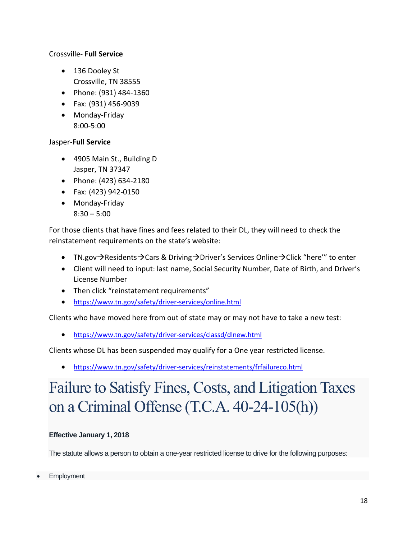#### Crossville- **Full Service**

- 136 Dooley St Crossville, TN 38555
- Phone: (931) 484-1360
- Fax: (931) 456-9039
- Monday-Friday 8:00-5:00

#### Jasper-**Full Service**

- 4905 Main St., Building D Jasper, TN 37347
- Phone: (423) 634-2180
- Fax: (423) 942-0150
- Monday-Friday  $8:30 - 5:00$

For those clients that have fines and fees related to their DL, they will need to check the reinstatement requirements on the state's website:

- TN.gov→Residents→Cars & Driving→Driver's Services Online→Click "here'" to enter
- Client will need to input: last name, Social Security Number, Date of Birth, and Driver's License Number
- Then click "reinstatement requirements"
- <https://www.tn.gov/safety/driver-services/online.html>

Clients who have moved here from out of state may or may not have to take a new test:

• <https://www.tn.gov/safety/driver-services/classd/dlnew.html>

Clients whose DL has been suspended may qualify for a One year restricted license.

• <https://www.tn.gov/safety/driver-services/reinstatements/frfailureco.html>

# Failure to Satisfy Fines, Costs, and Litigation Taxes on a Criminal Offense (T.C.A. 40-24-105(h))

#### **Effective January 1, 2018**

The statute allows a person to obtain a one-year restricted license to drive for the following purposes:

**Employment**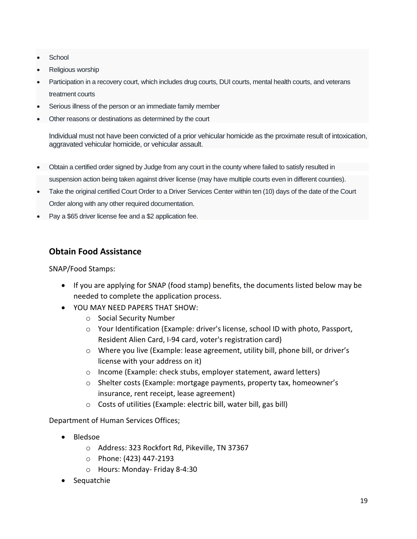- **School**
- Religious worship
- Participation in a recovery court, which includes drug courts, DUI courts, mental health courts, and veterans treatment courts
- Serious illness of the person or an immediate family member
- Other reasons or destinations as determined by the court

Individual must not have been convicted of a prior vehicular homicide as the proximate result of intoxication, aggravated vehicular homicide, or vehicular assault.

- Obtain a certified order signed by Judge from any court in the county where failed to satisfy resulted in suspension action being taken against driver license (may have multiple courts even in different counties).
- Take the original certified Court Order to a Driver Services Center within ten (10) days of the date of the Court Order along with any other required documentation.
- Pay a \$65 driver license fee and a \$2 application fee.

#### **Obtain Food Assistance**

SNAP/Food Stamps:

- If you are applying for SNAP (food stamp) benefits, the documents listed below may be needed to complete the application process.
- YOU MAY NEED PAPERS THAT SHOW:
	- o Social Security Number
	- o Your Identification (Example: driver's license, school ID with photo, Passport, Resident Alien Card, I-94 card, voter's registration card)
	- o Where you live (Example: lease agreement, utility bill, phone bill, or driver's license with your address on it)
	- o Income (Example: check stubs, employer statement, award letters)
	- $\circ$  Shelter costs (Example: mortgage payments, property tax, homeowner's insurance, rent receipt, lease agreement)
	- o Costs of utilities (Example: electric bill, water bill, gas bill)

Department of Human Services Offices;

- Bledsoe
	- o Address: 323 Rockfort Rd, Pikeville, TN 37367
	- o Phone: (423) 447-2193
	- o Hours: Monday- Friday 8-4:30
- Sequatchie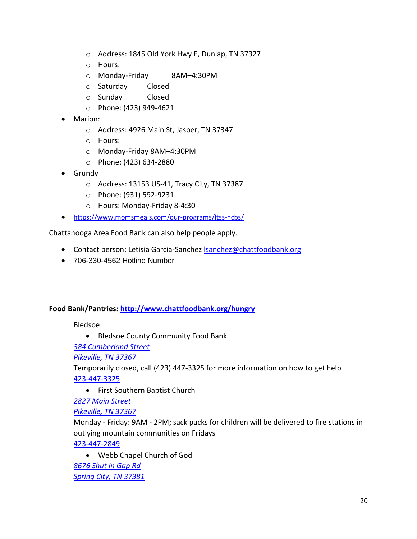- o Address: 1845 Old York Hwy E, Dunlap, TN 37327
- o Hours:
- o Monday-Friday 8AM–4:30PM
- o Saturday Closed
- o Sunday Closed
- o Phone: (423) 949-4621
- Marion:
	- o Address: 4926 Main St, Jasper, TN 37347
	- o Hours:
	- o Monday-Friday 8AM–4:30PM
	- o Phone: (423) 634-2880
- Grundy
	- o Address: 13153 US-41, Tracy City, TN 37387
	- o Phone: (931) 592-9231
	- o Hours: Monday-Friday 8-4:30
- <https://www.momsmeals.com/our-programs/ltss-hcbs/>

Chattanooga Area Food Bank can also help people apply.

- Contact person: Letisia Garcia-Sanchez **Isanchez@chattfoodbank.org**
- 706-330-4562 Hotline Number

#### **Food Bank/Pantries: <http://www.chattfoodbank.org/hungry>**

Bledsoe:

• Bledsoe County Community Food Bank

*[384 Cumberland Street](https://www.google.com/maps/place/384+Cumberland+Street,Pikeville,TN+37367)*

*[Pikeville, TN 37367](https://www.google.com/maps/place/384+Cumberland+Street,Pikeville,TN+37367)*

Temporarily closed, call (423) 447-3325 for more information on how to get help [423-447-3325](tel:423-447-3325)

• First Southern Baptist Church

*[2827 Main Street](https://www.google.com/maps/place/2827+Main+Street,Pikeville,TN+37367)*

*[Pikeville, TN 37367](https://www.google.com/maps/place/2827+Main+Street,Pikeville,TN+37367)*

Monday - Friday: 9AM - 2PM; sack packs for children will be delivered to fire stations in outlying mountain communities on Fridays

[423-447-2849](tel:423-447-2849)

• Webb Chapel Church of God *[8676 Shut in Gap Rd](https://www.google.com/maps/place/8676+Shut+in+Gap+Rd,Spring+City,TN+37381) [Spring City, TN 37381](https://www.google.com/maps/place/8676+Shut+in+Gap+Rd,Spring+City,TN+37381)*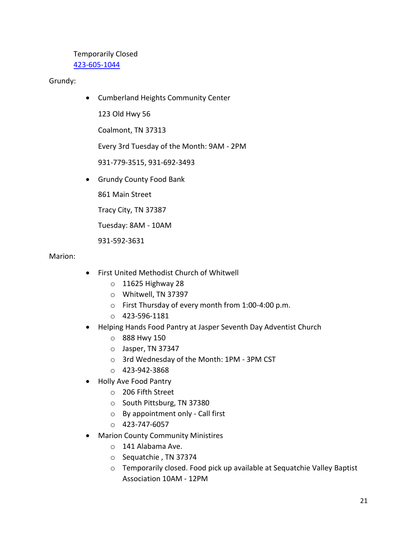Temporarily Closed [423-605-1044](tel:423-605-1044)

Grundy:

• Cumberland Heights Community Center

123 Old Hwy 56

Coalmont, TN 37313

Every 3rd Tuesday of the Month: 9AM - 2PM

931-779-3515, 931-692-3493

• Grundy County Food Bank

861 Main Street

Tracy City, TN 37387

Tuesday: 8AM - 10AM

931-592-3631

#### Marion:

- First United Methodist Church of Whitwell
	- o 11625 Highway 28
	- o Whitwell, TN 37397
	- o First Thursday of every month from 1:00-4:00 p.m.
	- o 423-596-1181
- Helping Hands Food Pantry at Jasper Seventh Day Adventist Church
	- o 888 Hwy 150
	- o Jasper, TN 37347
	- o 3rd Wednesday of the Month: 1PM 3PM CST
	- o 423-942-3868
- Holly Ave Food Pantry
	- o 206 Fifth Street
	- o South Pittsburg, TN 37380
	- o By appointment only Call first
	- o 423-747-6057
- Marion County Community Ministires
	- o 141 Alabama Ave.
	- o Sequatchie , TN 37374
	- o Temporarily closed. Food pick up available at Sequatchie Valley Baptist Association 10AM - 12PM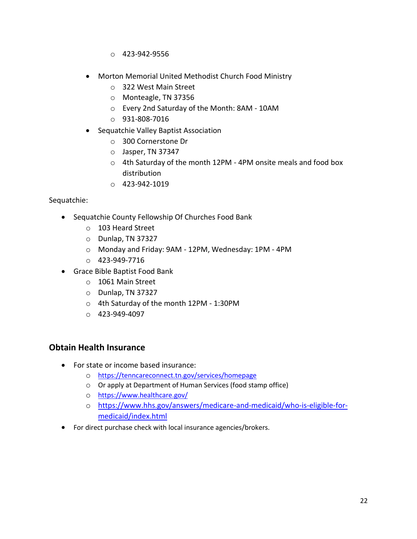- $O$  423-942-9556
- Morton Memorial United Methodist Church Food Ministry
	- o 322 West Main Street
	- o Monteagle, TN 37356
	- o Every 2nd Saturday of the Month: 8AM 10AM
	- o 931-808-7016
- Sequatchie Valley Baptist Association
	- o 300 Cornerstone Dr
	- o Jasper, TN 37347
	- o 4th Saturday of the month 12PM 4PM onsite meals and food box distribution
	- o 423-942-1019

#### Sequatchie:

- Sequatchie County Fellowship Of Churches Food Bank
	- o 103 Heard Street
	- o Dunlap, TN 37327
	- o Monday and Friday: 9AM 12PM, Wednesday: 1PM 4PM
	- o 423-949-7716
- Grace Bible Baptist Food Bank
	- o 1061 Main Street
	- o Dunlap, TN 37327
	- o 4th Saturday of the month 12PM 1:30PM
	- o 423-949-4097

#### **Obtain Health Insurance**

- For state or income based insurance:
	- o <https://tenncareconnect.tn.gov/services/homepage>
	- o Or apply at Department of Human Services (food stamp office)
	- o <https://www.healthcare.gov/>
	- o [https://www.hhs.gov/answers/medicare-and-medicaid/who-is-eligible-for](https://www.hhs.gov/answers/medicare-and-medicaid/who-is-eligible-for-medicaid/index.html)[medicaid/index.html](https://www.hhs.gov/answers/medicare-and-medicaid/who-is-eligible-for-medicaid/index.html)
- For direct purchase check with local insurance agencies/brokers.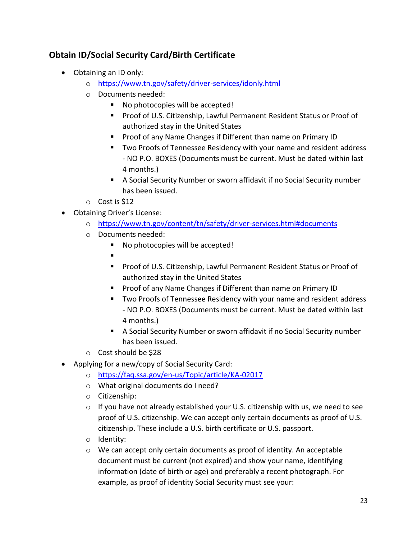## **Obtain ID/Social Security Card/Birth Certificate**

- Obtaining an ID only:
	- o <https://www.tn.gov/safety/driver-services/idonly.html>
	- o Documents needed:
		- No photocopies will be accepted!
		- Proof of U.S. Citizenship, Lawful Permanent Resident Status or Proof of authorized stay in the United States
		- Proof of any Name Changes if Different than name on Primary ID
		- Two Proofs of Tennessee Residency with your name and resident address - NO P.O. BOXES (Documents must be current. Must be dated within last 4 months.)
		- A Social Security Number or sworn affidavit if no Social Security number has been issued.
	- $\circ$  Cost is \$12
- Obtaining Driver's License:
	- o <https://www.tn.gov/content/tn/safety/driver-services.html#documents>
	- o Documents needed:
		- No photocopies will be accepted!
		- ▪
		- Proof of U.S. Citizenship, Lawful Permanent Resident Status or Proof of authorized stay in the United States
		- Proof of any Name Changes if Different than name on Primary ID
		- Two Proofs of Tennessee Residency with your name and resident address - NO P.O. BOXES (Documents must be current. Must be dated within last 4 months.)
		- A Social Security Number or sworn affidavit if no Social Security number has been issued.
	- o Cost should be \$28
- Applying for a new/copy of Social Security Card:
	- o <https://faq.ssa.gov/en-us/Topic/article/KA-02017>
	- o What original documents do I need?
	- o Citizenship:
	- $\circ$  If you have not already established your U.S. citizenship with us, we need to see proof of U.S. citizenship. We can accept only certain documents as proof of U.S. citizenship. These include a U.S. birth certificate or U.S. passport.
	- o Identity:
	- $\circ$  We can accept only certain documents as proof of identity. An acceptable document must be current (not expired) and show your name, identifying information (date of birth or age) and preferably a recent photograph. For example, as proof of identity Social Security must see your: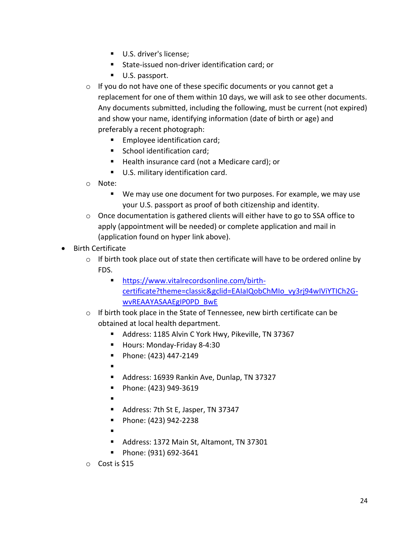- U.S. driver's license:
- State-issued non-driver identification card: or
- U.S. passport.
- o If you do not have one of these specific documents or you cannot get a replacement for one of them within 10 days, we will ask to see other documents. Any documents submitted, including the following, must be current (not expired) and show your name, identifying information (date of birth or age) and preferably a recent photograph:
	- Employee identification card;
	- School identification card;
	- Health insurance card (not a Medicare card); or
	- U.S. military identification card.
- o Note:
	- We may use one document for two purposes. For example, we may use your U.S. passport as proof of both citizenship and identity.
- $\circ$  Once documentation is gathered clients will either have to go to SSA office to apply (appointment will be needed) or complete application and mail in (application found on hyper link above).
- Birth Certificate
	- $\circ$  If birth took place out of state then certificate will have to be ordered online by FDS.
		- **Internal interview** [https://www.vitalrecordsonline.com/birth](https://www.vitalrecordsonline.com/birth-certificate?theme=classic&gclid=EAIaIQobChMIo_vy3rj94wIViYTICh2G-wvREAAYASAAEgIP0PD_BwE)[certificate?theme=classic&gclid=EAIaIQobChMIo\\_vy3rj94wIViYTICh2G](https://www.vitalrecordsonline.com/birth-certificate?theme=classic&gclid=EAIaIQobChMIo_vy3rj94wIViYTICh2G-wvREAAYASAAEgIP0PD_BwE)[wvREAAYASAAEgIP0PD\\_BwE](https://www.vitalrecordsonline.com/birth-certificate?theme=classic&gclid=EAIaIQobChMIo_vy3rj94wIViYTICh2G-wvREAAYASAAEgIP0PD_BwE)
	- o If birth took place in the State of Tennessee, new birth certificate can be obtained at local health department.
		- Address: 1185 Alvin C York Hwy, Pikeville, TN 37367
		- Hours: Monday-Friday 8-4:30
		- Phone: (423) 447-2149
		- ▪
		- Address: 16939 Rankin Ave, Dunlap, TN 37327
		- Phone: (423) 949-3619
		- ▪
		- Address: 7th St E, Jasper, TN 37347
		- Phone: (423) 942-2238
		- ▪
		- Address: 1372 Main St, Altamont, TN 37301
		- Phone: (931) 692-3641
	- o Cost is \$15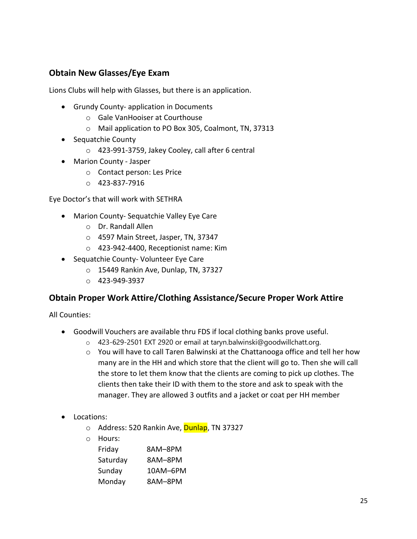## **Obtain New Glasses/Eye Exam**

Lions Clubs will help with Glasses, but there is an application.

- Grundy County- application in Documents
	- o Gale VanHooiser at Courthouse
	- o Mail application to PO Box 305, Coalmont, TN, 37313
- Sequatchie County
	- o 423-991-3759, Jakey Cooley, call after 6 central
- Marion County Jasper
	- o Contact person: Les Price
	- o 423-837-7916

Eye Doctor's that will work with SETHRA

- Marion County- Sequatchie Valley Eye Care
	- o Dr. Randall Allen
	- o 4597 Main Street, Jasper, TN, 37347
	- o 423-942-4400, Receptionist name: Kim
- Sequatchie County- Volunteer Eye Care
	- o 15449 Rankin Ave, Dunlap, TN, 37327
	- o 423-949-3937

#### **Obtain Proper Work Attire/Clothing Assistance/Secure Proper Work Attire**

All Counties:

- Goodwill Vouchers are available thru FDS if local clothing banks prove useful.
	- o 423-629-2501 EXT 2920 or email at taryn.balwinski@goodwillchatt.org.
	- o You will have to call Taren Balwinski at the Chattanooga office and tell her how many are in the HH and which store that the client will go to. Then she will call the store to let them know that the clients are coming to pick up clothes. The clients then take their ID with them to the store and ask to speak with the manager. They are allowed 3 outfits and a jacket or coat per HH member
- Locations:
	- o Address: 520 Rankin Ave, **Dunlap**, TN 37327
	- o Hours:

| Friday   | 8AM-8PM  |
|----------|----------|
| Saturday | 8AM-8PM  |
| Sunday   | 10AM-6PM |
| Monday   | 8AM-8PM  |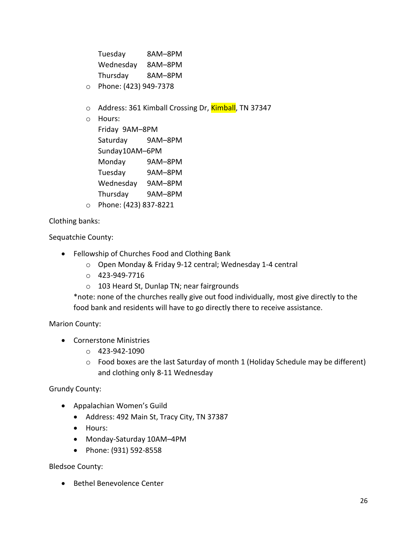| Tuesday   | 8AM-8PM |
|-----------|---------|
| Wednesday | 8AM-8PM |
| Thursday  | 8AM-8PM |

- o Phone: (423) 949-7378
- o Address: 361 Kimball Crossing Dr, Kimball, TN 37347
- o Hours:

| Friday 9AM-8PM |         |  |
|----------------|---------|--|
| Saturday       | 9AM-8PM |  |
| Sunday10AM-6PM |         |  |
| Monday         | 9AM-8PM |  |
| Tuesday        | 9AM-8PM |  |
| Wednesday      | 9AM-8PM |  |
| Thursday       | 9AM-8PM |  |
|                |         |  |

o Phone: (423) 837-8221

Clothing banks:

Sequatchie County:

- Fellowship of Churches Food and Clothing Bank
	- o Open Monday & Friday 9-12 central; Wednesday 1-4 central
	- o 423-949-7716
	- o 103 Heard St, Dunlap TN; near fairgrounds

\*note: none of the churches really give out food individually, most give directly to the food bank and residents will have to go directly there to receive assistance.

Marion County:

- Cornerstone Ministries
	- o 423-942-1090
	- $\circ$  Food boxes are the last Saturday of month 1 (Holiday Schedule may be different) and clothing only 8-11 Wednesday

Grundy County:

- Appalachian Women's Guild
	- Address: 492 Main St, Tracy City, TN 37387
	- Hours:
	- Monday-Saturday 10AM–4PM
	- Phone: (931) 592-8558

Bledsoe County:

• Bethel Benevolence Center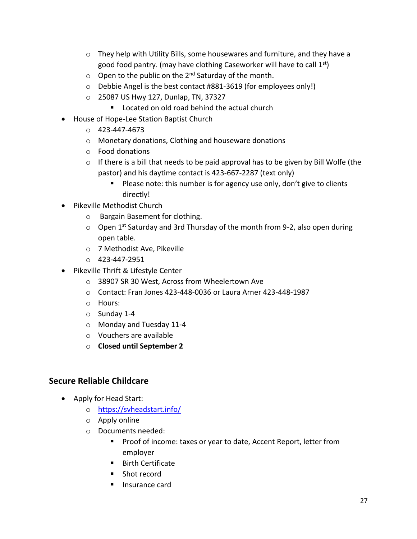- $\circ$  They help with Utility Bills, some housewares and furniture, and they have a good food pantry. (may have clothing Caseworker will have to call  $1^{st}$ )
- $\circ$  Open to the public on the 2<sup>nd</sup> Saturday of the month.
- o Debbie Angel is the best contact #881-3619 (for employees only!)
- o 25087 US Hwy 127, Dunlap, TN, 37327
	- Located on old road behind the actual church
- House of Hope-Lee Station Baptist Church
	- o 423-447-4673
	- o Monetary donations, Clothing and houseware donations
	- o Food donations
	- o If there is a bill that needs to be paid approval has to be given by Bill Wolfe (the pastor) and his daytime contact is 423-667-2287 (text only)
		- Please note: this number is for agency use only, don't give to clients directly!
- Pikeville Methodist Church
	- o Bargain Basement for clothing.
	- $\circ$  Open 1<sup>st</sup> Saturday and 3rd Thursday of the month from 9-2, also open during open table.
	- o 7 Methodist Ave, Pikeville
	- $O$  423-447-2951
- Pikeville Thrift & Lifestyle Center
	- o 38907 SR 30 West, Across from Wheelertown Ave
	- o Contact: Fran Jones 423-448-0036 or Laura Arner 423-448-1987
	- o Hours:
	- o Sunday 1-4
	- o Monday and Tuesday 11-4
	- o Vouchers are available
	- o **Closed until September 2**

## **Secure Reliable Childcare**

- Apply for Head Start:
	- o <https://svheadstart.info/>
	- o Apply online
	- o Documents needed:
		- Proof of income: taxes or year to date, Accent Report, letter from employer
		- Birth Certificate
		- Shot record
		- Insurance card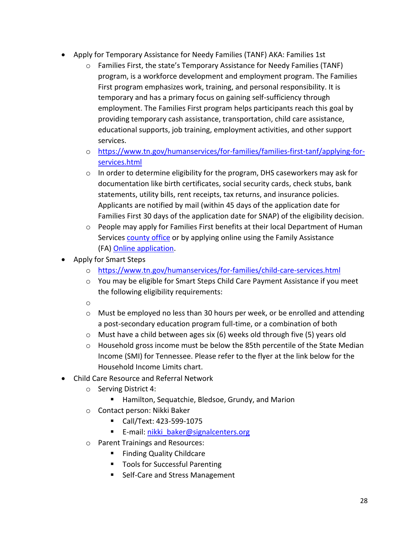- Apply for Temporary Assistance for Needy Families (TANF) AKA: Families 1st
	- o Families First, the state's Temporary Assistance for Needy Families (TANF) program, is a workforce development and employment program. The Families First program emphasizes work, training, and personal responsibility. It is temporary and has a primary focus on gaining self-sufficiency through employment. The Families First program helps participants reach this goal by providing temporary cash assistance, transportation, child care assistance, educational supports, job training, employment activities, and other support services.
	- o [https://www.tn.gov/humanservices/for-families/families-first-tanf/applying-for](https://www.tn.gov/humanservices/for-families/families-first-tanf/applying-for-services.html)[services.html](https://www.tn.gov/humanservices/for-families/families-first-tanf/applying-for-services.html)
	- $\circ$  In order to determine eligibility for the program, DHS caseworkers may ask for documentation like birth certificates, social security cards, check stubs, bank statements, utility bills, rent receipts, tax returns, and insurance policies. Applicants are notified by mail (within 45 days of the application date for Families First 30 days of the application date for SNAP) of the eligibility decision.
	- $\circ$  People may apply for Families First benefits at their local Department of Human Services [county office](https://www.tn.gov/content/tn/humanservices/for-families/supplemental-nutrition-assistance-program-snap/office-locator-family-assistance.html) or by applying online using the Family Assistance (FA) [Online application.](https://faonlineapp.dhs.tn.gov/)
- Apply for Smart Steps
	- o <https://www.tn.gov/humanservices/for-families/child-care-services.html>
	- o You may be eligible for Smart Steps Child Care Payment Assistance if you meet the following eligibility requirements:
	- o
	- $\circ$  Must be employed no less than 30 hours per week, or be enrolled and attending a post-secondary education program full-time, or a combination of both
	- o Must have a child between ages six (6) weeks old through five (5) years old
	- o Household gross income must be below the 85th percentile of the State Median Income (SMI) for Tennessee. Please refer to the flyer at the link below for the Household Income Limits chart.
- Child Care Resource and Referral Network
	- o Serving District 4:
		- Hamilton, Sequatchie, Bledsoe, Grundy, and Marion
	- o Contact person: Nikki Baker
		- Call/Text: 423-599-1075
		- **E-mail: [nikki\\_baker@signalcenters.org](mailto:nikki_baker@signalcenters.org)**
	- o Parent Trainings and Resources:
		- Finding Quality Childcare
		- Tools for Successful Parenting
		- Self-Care and Stress Management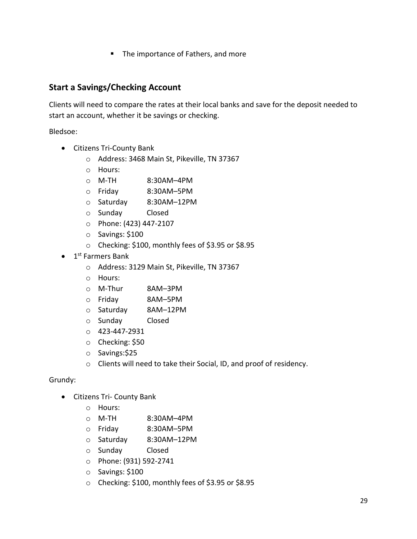■ The importance of Fathers, and more

#### **Start a Savings/Checking Account**

Clients will need to compare the rates at their local banks and save for the deposit needed to start an account, whether it be savings or checking.

Bledsoe:

- Citizens Tri-County Bank
	- o Address: 3468 Main St, Pikeville, TN 37367
	- o Hours:
	- o M-TH 8:30AM–4PM
	- o Friday 8:30AM–5PM
	- o Saturday 8:30AM–12PM
	- o Sunday Closed
	- o Phone: (423) 447-2107
	- o Savings: \$100
	- o Checking: \$100, monthly fees of \$3.95 or \$8.95
- 1<sup>st</sup> Farmers Bank
	- o Address: 3129 Main St, Pikeville, TN 37367
	- o Hours:
	- o M-Thur 8AM–3PM
	- o Friday 8AM–5PM
	- o Saturday 8AM–12PM
	- o Sunday Closed
	- o 423-447-2931
	- o Checking: \$50
	- o Savings:\$25
	- o Clients will need to take their Social, ID, and proof of residency.

#### Grundy:

- Citizens Tri- County Bank
	- o Hours:
	- o M-TH 8:30AM–4PM
	- o Friday 8:30AM–5PM
	- o Saturday 8:30AM–12PM
	- o Sunday Closed
	- o Phone: (931) 592-2741
	- o Savings: \$100
	- o Checking: \$100, monthly fees of \$3.95 or \$8.95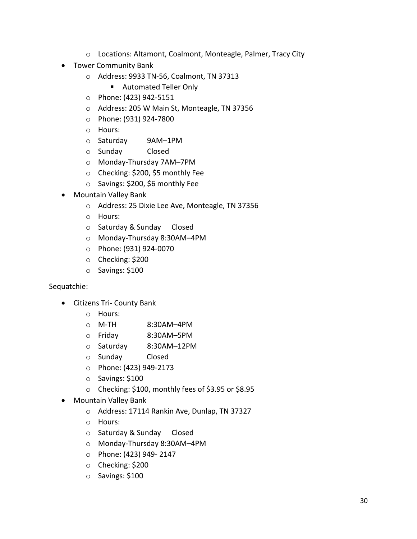- o Locations: Altamont, Coalmont, Monteagle, Palmer, Tracy City
- Tower Community Bank
	- o Address: 9933 TN-56, Coalmont, TN 37313
		- Automated Teller Only
	- o Phone: (423) 942-5151
	- o Address: 205 W Main St, Monteagle, TN 37356
	- o Phone: (931) 924-7800
	- o Hours:
	- o Saturday 9AM–1PM
	- o Sunday Closed
	- o Monday-Thursday 7AM–7PM
	- o Checking: \$200, \$5 monthly Fee
	- o Savings: \$200, \$6 monthly Fee
- Mountain Valley Bank
	- o Address: 25 Dixie Lee Ave, Monteagle, TN 37356
	- o Hours:
	- o Saturday & Sunday Closed
	- o Monday-Thursday 8:30AM–4PM
	- o Phone: (931) 924-0070
	- o Checking: \$200
	- o Savings: \$100

#### Sequatchie:

- Citizens Tri- County Bank
	- o Hours:
	- o M-TH 8:30AM–4PM
	- o Friday 8:30AM–5PM
	- o Saturday 8:30AM–12PM
	- o Sunday Closed
	- o Phone: (423) 949-2173
	- o Savings: \$100
	- o Checking: \$100, monthly fees of \$3.95 or \$8.95
- Mountain Valley Bank
	- o Address: 17114 Rankin Ave, Dunlap, TN 37327
	- o Hours:
	- o Saturday & Sunday Closed
	- o Monday-Thursday 8:30AM–4PM
	- o Phone: (423) 949- 2147
	- o Checking: \$200
	- o Savings: \$100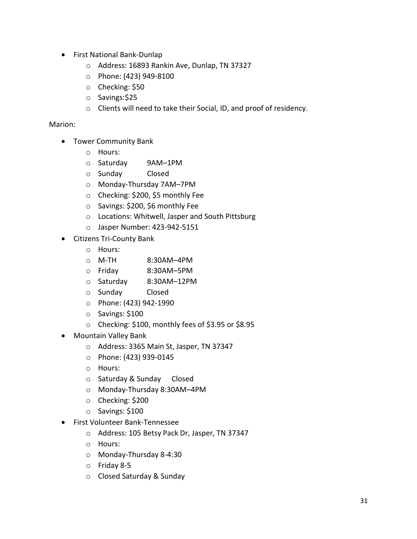- First National Bank-Dunlap
	- o Address: 16893 Rankin Ave, Dunlap, TN 37327
	- o Phone: (423) 949-8100
	- o Checking: \$50
	- o Savings:\$25
	- o Clients will need to take their Social, ID, and proof of residency.

#### Marion:

- Tower Community Bank
	- o Hours:
	- o Saturday 9AM–1PM
	- o Sunday Closed
	- o Monday-Thursday 7AM–7PM
	- o Checking: \$200, \$5 monthly Fee
	- o Savings: \$200, \$6 monthly Fee
	- o Locations: Whitwell, Jasper and South Pittsburg
	- o Jasper Number: 423-942-5151
- Citizens Tri-County Bank
	- o Hours:
	- o M-TH 8:30AM–4PM
	- o Friday 8:30AM–5PM
	- o Saturday 8:30AM–12PM
	- o Sunday Closed
	- o Phone: (423) 942-1990
	- o Savings: \$100
	- o Checking: \$100, monthly fees of \$3.95 or \$8.95
- Mountain Valley Bank
	- o Address: 3365 Main St, Jasper, TN 37347
	- o Phone: (423) 939-0145
	- o Hours:
	- o Saturday & Sunday Closed
	- o Monday-Thursday 8:30AM–4PM
	- o Checking: \$200
	- o Savings: \$100
- First Volunteer Bank-Tennessee
	- o Address: 105 Betsy Pack Dr, Jasper, TN 37347
	- o Hours:
	- o Monday-Thursday 8-4:30
	- o Friday 8-5
	- o Closed Saturday & Sunday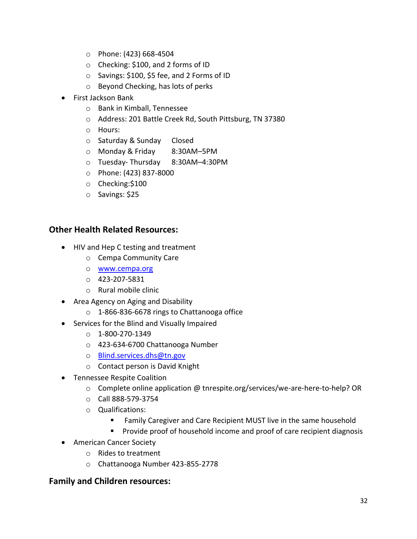- o Phone: (423) 668-4504
- o Checking: \$100, and 2 forms of ID
- o Savings: \$100, \$5 fee, and 2 Forms of ID
- o Beyond Checking, has lots of perks
- First Jackson Bank
	- o Bank in Kimball, Tennessee
	- o Address: 201 Battle Creek Rd, South Pittsburg, TN 37380
	- o Hours:
	- o Saturday & Sunday Closed
	- o Monday & Friday 8:30AM–5PM
	- o Tuesday- Thursday 8:30AM–4:30PM
	- o Phone: (423) 837-8000
	- o Checking:\$100
	- o Savings: \$25

#### **Other Health Related Resources:**

- HIV and Hep C testing and treatment
	- o Cempa Community Care
	- o [www.cempa.org](http://www.cempa.org/)
	- o 423-207-5831
	- o Rural mobile clinic
- Area Agency on Aging and Disability
	- o 1-866-836-6678 rings to Chattanooga office
- Services for the Blind and Visually Impaired
	- o 1-800-270-1349
	- o 423-634-6700 Chattanooga Number
	- o [Blind.services.dhs@tn.gov](mailto:Blind.services.dhs@tn.gov)
	- o Contact person is David Knight
- Tennessee Respite Coalition
	- o Complete online application @ tnrespite.org/services/we-are-here-to-help? OR
	- o Call 888-579-3754
	- o Qualifications:
		- Family Caregiver and Care Recipient MUST live in the same household
		- Provide proof of household income and proof of care recipient diagnosis
- American Cancer Society
	- o Rides to treatment
	- o Chattanooga Number 423-855-2778

#### **Family and Children resources:**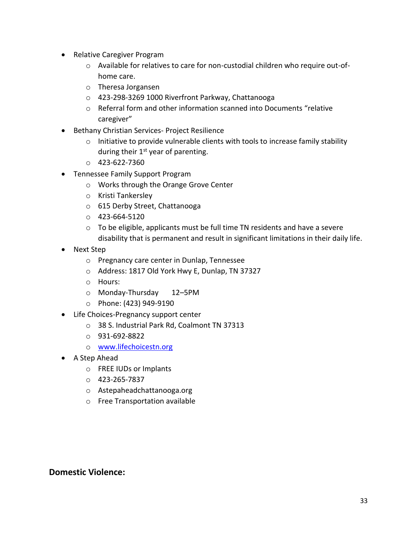- Relative Caregiver Program
	- o Available for relatives to care for non-custodial children who require out-ofhome care.
	- o Theresa Jorgansen
	- o 423-298-3269 1000 Riverfront Parkway, Chattanooga
	- o Referral form and other information scanned into Documents "relative caregiver"
- Bethany Christian Services- Project Resilience
	- $\circ$  Initiative to provide vulnerable clients with tools to increase family stability during their  $1<sup>st</sup>$  year of parenting.
	- $O$  423-622-7360
- Tennessee Family Support Program
	- o Works through the Orange Grove Center
	- o Kristi Tankersley
	- o 615 Derby Street, Chattanooga
	- $O$  423-664-5120
	- $\circ$  To be eligible, applicants must be full time TN residents and have a severe disability that is permanent and result in significant limitations in their daily life.
- Next Step
	- o Pregnancy care center in Dunlap, Tennessee
	- o Address: 1817 Old York Hwy E, Dunlap, TN 37327
	- o Hours:
	- o Monday-Thursday 12–5PM
	- o Phone: (423) 949-9190
- Life Choices-Pregnancy support center
	- o 38 S. Industrial Park Rd, Coalmont TN 37313
	- o 931-692-8822
	- o [www.lifechoicestn.org](http://www.lifechoicestn.org/)
- A Step Ahead
	- o FREE IUDs or Implants
	- o 423-265-7837
	- o Astepaheadchattanooga.org
	- o Free Transportation available

#### **Domestic Violence:**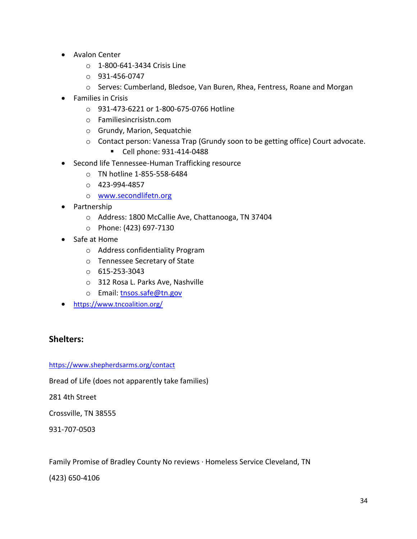- Avalon Center
	- o 1-800-641-3434 Crisis Line
	- $O$  931-456-0747
	- o Serves: Cumberland, Bledsoe, Van Buren, Rhea, Fentress, Roane and Morgan
- Families in Crisis
	- o 931-473-6221 or 1-800-675-0766 Hotline
	- o Familiesincrisistn.com
	- o Grundy, Marion, Sequatchie
	- o Contact person: Vanessa Trap (Grundy soon to be getting office) Court advocate.
		- Cell phone: 931-414-0488
- Second life Tennessee-Human Trafficking resource
	- o TN hotline 1-855-558-6484
	- o 423-994-4857
	- o [www.secondlifetn.org](http://www.secondlifetn.org/)
- Partnership
	- o Address: 1800 McCallie Ave, Chattanooga, TN 37404
	- o Phone: (423) 697-7130
- Safe at Home
	- o Address confidentiality Program
	- o Tennessee Secretary of State
	- o 615-253-3043
	- o 312 Rosa L. Parks Ave, Nashville
	- o Email: [tnsos.safe@tn.gov](mailto:tnsos.safe@tn.gov)
- <https://www.tncoalition.org/>

#### **Shelters:**

#### <https://www.shepherdsarms.org/contact>

Bread of Life (does not apparently take families)

281 4th Street

Crossville, TN 38555

931-707-0503

Family Promise of Bradley County No reviews · Homeless Service Cleveland, TN

(423) 650-4106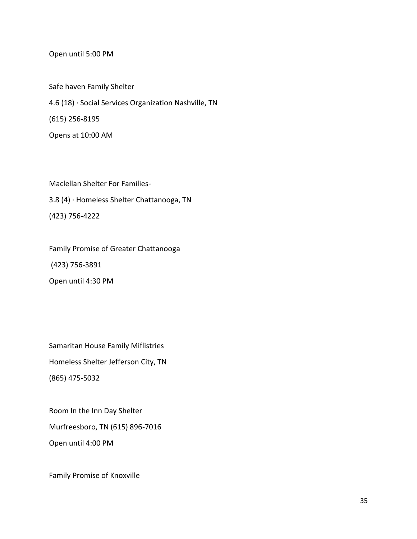Open until 5:00 PM

Safe haven Family Shelter 4.6 (18) · Social Services Organization Nashville, TN (615) 256-8195 Opens at 10:00 AM

Maclellan Shelter For Families-3.8 (4) · Homeless Shelter Chattanooga, TN (423) 756-4222

Family Promise of Greater Chattanooga (423) 756-3891 Open until 4:30 PM

Samaritan House Family Miflistries Homeless Shelter Jefferson City, TN (865) 475-5032

Room In the Inn Day Shelter Murfreesboro, TN (615) 896-7016 Open until 4:00 PM

Family Promise of Knoxville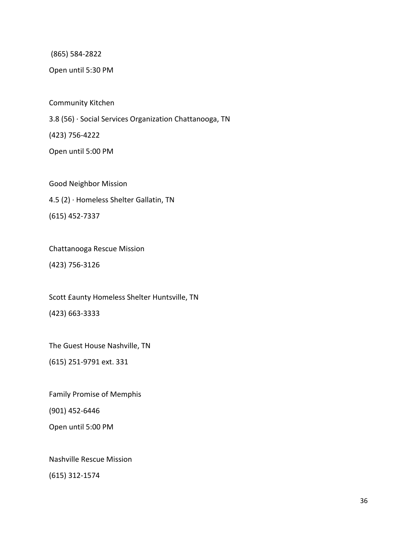(865) 584-2822

Open until 5:30 PM

Community Kitchen

3.8 (56) · Social Services Organization Chattanooga, TN

(423) 756-4222

Open until 5:00 PM

Good Neighbor Mission 4.5 (2) · Homeless Shelter Gallatin, TN (615) 452-7337

Chattanooga Rescue Mission (423) 756-3126

Scott £aunty Homeless Shelter Huntsville, TN (423) 663-3333

The Guest House Nashville, TN

(615) 251-9791 ext. 331

Family Promise of Memphis (901) 452-6446

Open until 5:00 PM

Nashville Rescue Mission

(615) 312-1574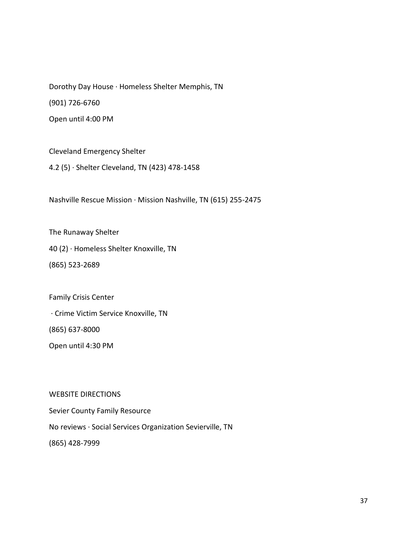Dorothy Day House · Homeless Shelter Memphis, TN (901) 726-6760 Open until 4:00 PM

Cleveland Emergency Shelter

4.2 (5) · Shelter Cleveland, TN (423) 478-1458

Nashville Rescue Mission · Mission Nashville, TN (615) 255-2475

The Runaway Shelter

40 (2) · Homeless Shelter Knoxville, TN

(865) 523-2689

Family Crisis Center

· Crime Victim Service Knoxville, TN

(865) 637-8000

Open until 4:30 PM

WEBSITE DIRECTIONS

Sevier County Family Resource No reviews · Social Services Organization Sevierville, TN

(865) 428-7999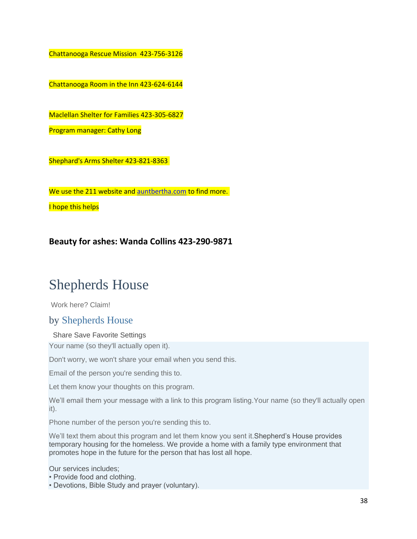Chattanooga Rescue Mission 423-756-3126

Chattanooga Room in the Inn 423-624-6144

Maclellan Shelter for Families 423-305-6827

Program manager: Cathy Long

Shephard's Arms Shelter 423-821-8363

We use the 211 website and [auntbertha.com](http://auntbertha.com/) to find more.

I hope this helps

**Beauty for ashes: Wanda Collins 423-290-9871**

## Shepherds House

[Work here? Claim!](https://www.auntbertha.com/claims/new/5206335574769664)

## by [Shepherds House](https://www.auntbertha.com/provider/shepherds-house--tullahoma-tn/5710116313890816)

#### Share Save Favorite Settings

Your name (so they'll actually open it).

Don't worry, we won't share your email when you send this.

Email of the person you're sending this to.

Let them know your thoughts on this program.

We'll email them your message with a link to this program listing.Your name (so they'll actually open it).

Phone number of the person you're sending this to.

We'll text them about this program and let them know you sent it. Shepherd's House provides temporary housing for the homeless. We provide a home with a family type environment that promotes hope in the future for the person that has lost all hope.

Our services includes;

- Provide food and clothing.
- Devotions, Bible Study and prayer (voluntary).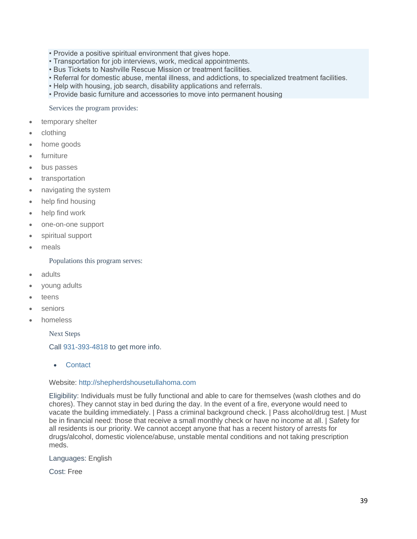- Provide a positive spiritual environment that gives hope.
- Transportation for job interviews, work, medical appointments.
- Bus Tickets to Nashville Rescue Mission or treatment facilities.
- Referral for domestic abuse, mental illness, and addictions, to specialized treatment facilities.
- Help with housing, job search, disability applications and referrals.
- Provide basic furniture and accessories to move into permanent housing

Services the program provides:

- temporary shelter
- clothing
- home goods
- furniture
- bus passes
- transportation
- navigating the system
- help find housing
- help find work
- one-on-one support
- spiritual support
- meals

Populations this program serves:

- adults
- young adults
- teens
- seniors
- homeless

Next Steps

Call [931-393-4818](tel:931-393-4818) to get more info.

**Contact** 

#### Website: [http://shepherdshousetullahoma.com](http://shepherdshousetullahoma.com/)

Eligibility: Individuals must be fully functional and able to care for themselves (wash clothes and do chores). They cannot stay in bed during the day. In the event of a fire, everyone would need to vacate the building immediately. | Pass a criminal background check. | Pass alcohol/drug test. | Must be in financial need: those that receive a small monthly check or have no income at all. | Safety for all residents is our priority. We cannot accept anyone that has a recent history of arrests for drugs/alcohol, domestic violence/abuse, unstable mental conditions and not taking prescription meds.

Languages: English

Cost: Free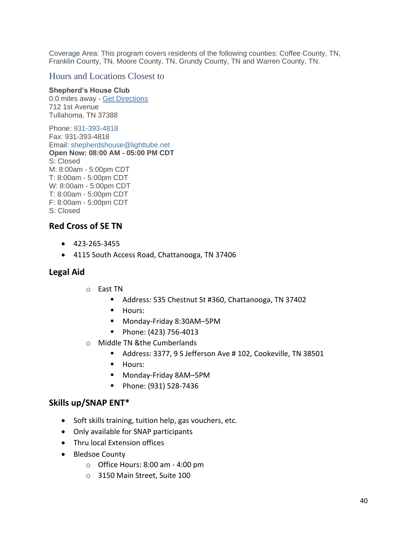Coverage Area: This program covers residents of the following counties: Coffee County, TN, Franklin County, TN, Moore County, TN, Grundy County, TN and Warren County, TN.

#### Hours and Locations Closest to

#### **Shepherd's House Club**

0.0 miles away - [Get Directions](https://www.google.com/maps/?q=712+1st+Avenue,+Tullahoma,+TN+37388/) 712 1st Avenue Tullahoma, TN 37388

Phone: [931-393-4818](tel:931-393-4818) Fax: 931-393-4818 Email: [shepherdshouse@lighttube.net](mailto:shepherdshouse@lighttube.net) **Open Now: 08:00 AM - 05:00 PM CDT**  S: Closed M: 8:00am - 5:00pm CDT T: 8:00am - 5:00pm CDT W: 8:00am - 5:00pm CDT T: 8:00am - 5:00pm CDT F: 8:00am - 5:00pm CDT S: Closed

#### **Red Cross of SE TN**

- 423-265-3455
- 4115 South Access Road, Chattanooga, TN 37406

#### **Legal Aid**

- o East TN
	- Address: 535 Chestnut St #360, Chattanooga, TN 37402
	- Hours:
	- Monday-Friday 8:30AM-5PM
	- Phone: (423) 756-4013
- o Middle TN &the Cumberlands
	- Address: 3377, 9 S Jefferson Ave # 102, Cookeville, TN 38501
	- Hours:
	- Monday-Friday 8AM-5PM
	- Phone: (931) 528-7436

#### **Skills up/SNAP ENT\***

- Soft skills training, tuition help, gas vouchers, etc.
- Only available for SNAP participants
- Thru local Extension offices
- Bledsoe County
	- $\circ$  Office Hours: 8:00 am 4:00 pm
	- o 3150 Main Street, Suite 100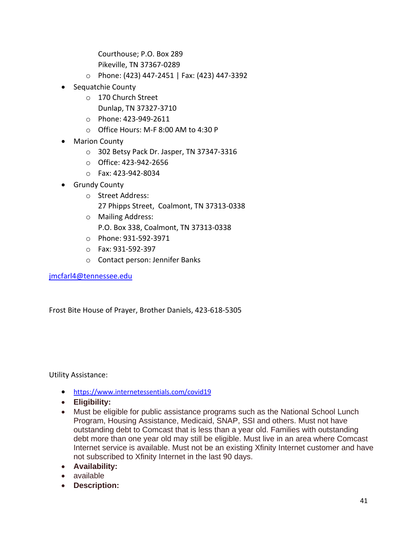Courthouse; P.O. Box 289

Pikeville, TN 37367-0289

- o Phone: (423) 447-2451 | Fax: (423) 447-3392
- Sequatchie County
	- o 170 Church Street
		- Dunlap, TN 37327-3710
	- o Phone: 423-949-2611
	- o Office Hours: M-F 8:00 AM to 4:30 P
- Marion County
	- o 302 Betsy Pack Dr. Jasper, TN 37347-3316
	- o Office: 423-942-2656
	- o Fax: 423-942-8034
- Grundy County
	- o Street Address: 27 Phipps Street, Coalmont, TN 37313-0338
	- o Mailing Address: P.O. Box 338, Coalmont, TN 37313-0338
	- o Phone: 931-592-3971
	- o Fax: 931-592-397
	- o Contact person: Jennifer Banks

[jmcfarl4@tennessee.edu](mailto:jmcfarl4@tennessee.edu)

Frost Bite House of Prayer, Brother Daniels, 423-618-5305

Utility Assistance:

- <https://www.internetessentials.com/covid19>
- **Eligibility:**
- Must be eligible for public assistance programs such as the National School Lunch Program, Housing Assistance, Medicaid, SNAP, SSI and others. Must not have outstanding debt to Comcast that is less than a year old. Families with outstanding debt more than one year old may still be eligible. Must live in an area where Comcast Internet service is available. Must not be an existing Xfinity Internet customer and have not subscribed to Xfinity Internet in the last 90 days.
- **Availability:**
- available
- **Description:**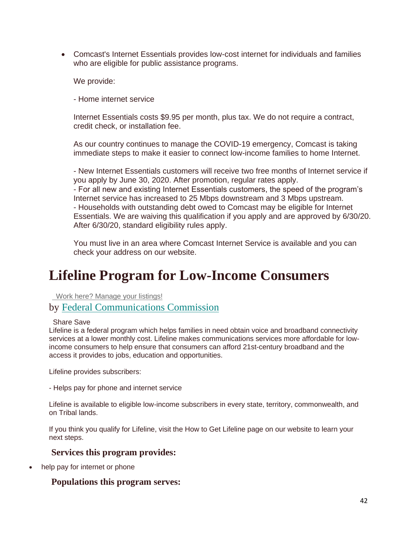• Comcast's Internet Essentials provides low-cost internet for individuals and families who are eligible for public assistance programs.

We provide:

- Home internet service

Internet Essentials costs \$9.95 per month, plus tax. We do not require a contract, credit check, or installation fee.

As our country continues to manage the COVID-19 emergency, Comcast is taking immediate steps to make it easier to connect low-income families to home Internet.

- New Internet Essentials customers will receive two free months of Internet service if you apply by June 30, 2020. After promotion, regular rates apply. - For all new and existing Internet Essentials customers, the speed of the program's Internet service has increased to 25 Mbps downstream and 3 Mbps upstream. - Households with outstanding debt owed to Comcast may be eligible for Internet Essentials. We are waiving this qualification if you apply and are approved by 6/30/20. After 6/30/20, standard eligibility rules apply.

You must live in an area where Comcast Internet Service is available and you can check your address on our website.

## **Lifeline Program for Low-Income Consumers**

 [Work here? Manage your listings!](https://www.auntbertha.com/claims/new/6173667164684288)

by [Federal Communications Commission](https://www.auntbertha.com/provider/federal-communications-commission--washington-dc/5125282072625152?postal=37367)

Share Save

Lifeline is a federal program which helps families in need obtain voice and broadband connectivity services at a lower monthly cost. Lifeline makes communications services more affordable for lowincome consumers to help ensure that consumers can afford 21st-century broadband and the access it provides to jobs, education and opportunities.

Lifeline provides subscribers:

- Helps pay for phone and internet service

Lifeline is available to eligible low-income subscribers in every state, territory, commonwealth, and on Tribal lands.

If you think you qualify for Lifeline, visit the How to Get Lifeline page on our website to learn your next steps.

#### **Services this program provides:**

help pay for internet or phone

#### **Populations this program serves:**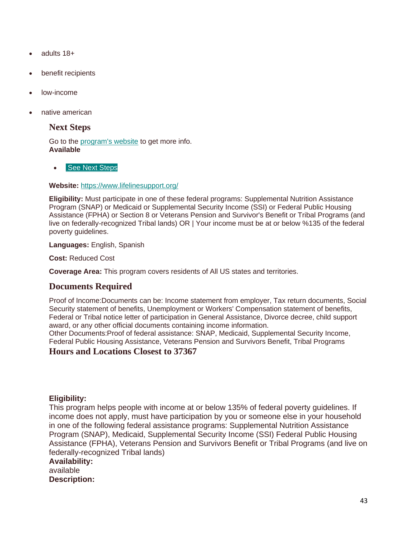- adults 18+
- benefit recipients
- low-income
- native american

#### **Next Steps**

Go to the [program's website](https://www.lifelinesupport.org/) to get more info. **Available**

#### **See Next [Steps](https://www.auntbertha.com/federal-communications-commission--washington-dc--lifeline-program-for-low-income-consumers/6173667164684288?postal=37367#connect-box-)**

#### **Website:** <https://www.lifelinesupport.org/>

**Eligibility:** Must participate in one of these federal programs: Supplemental Nutrition Assistance Program (SNAP) or Medicaid or Supplemental Security Income (SSI) or Federal Public Housing Assistance (FPHA) or Section 8 or Veterans Pension and Survivor's Benefit or Tribal Programs (and live on federally-recognized Tribal lands) OR | Your income must be at or below %135 of the federal poverty guidelines.

**Languages:** English, Spanish

**Cost:** Reduced Cost

**Coverage Area:** This program covers residents of All US states and territories.

#### **Documents Required**

Proof of Income:Documents can be: Income statement from employer, Tax return documents, Social Security statement of benefits, Unemployment or Workers' Compensation statement of benefits, Federal or Tribal notice letter of participation in General Assistance, Divorce decree, child support award, or any other official documents containing income information.

Other Documents:Proof of federal assistance: SNAP, Medicaid, Supplemental Security Income, Federal Public Housing Assistance, Veterans Pension and Survivors Benefit, Tribal Programs

#### **Hours and Locations Closest to 37367**

#### **Eligibility:**

This program helps people with income at or below 135% of federal poverty guidelines. If income does not apply, must have participation by you or someone else in your household in one of the following federal assistance programs: Supplemental Nutrition Assistance Program (SNAP), Medicaid, Supplemental Security Income (SSI) Federal Public Housing Assistance (FPHA), Veterans Pension and Survivors Benefit or Tribal Programs (and live on federally-recognized Tribal lands) **Availability:**

available **Description:**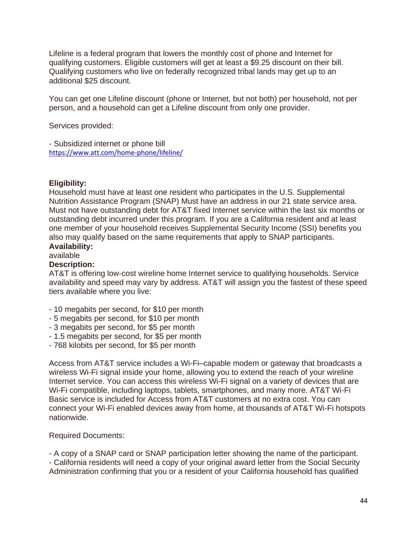Lifeline is a federal program that lowers the monthly cost of phone and Internet for qualifying customers. Eligible customers will get at least a \$9.25 discount on their bill. Qualifying customers who live on federally recognized tribal lands may get up to an additional \$25 discount.

You can get one Lifeline discount (phone or Internet, but not both) per household, not per person, and a household can get a Lifeline discount from only one provider.

Services provided:

- Subsidized internet or phone bill <https://www.att.com/home-phone/lifeline/>

#### **Eligibility:**

Household must have at least one resident who participates in the U.S. Supplemental Nutrition Assistance Program (SNAP) Must have an address in our 21 state service area. Must not have outstanding debt for AT&T fixed Internet service within the last six months or outstanding debt incurred under this program. If you are a California resident and at least one member of your household receives Supplemental Security Income (SSI) benefits you also may qualify based on the same requirements that apply to SNAP participants. **Availability:**

## available

#### **Description:**

AT&T is offering low-cost wireline home Internet service to qualifying households. Service availability and speed may vary by address. AT&T will assign you the fastest of these speed tiers available where you live:

- 10 megabits per second, for \$10 per month
- 5 megabits per second, for \$10 per month
- 3 megabits per second, for \$5 per month
- 1.5 megabits per second, for \$5 per month
- 768 kilobits per second, for \$5 per month

Access from AT&T service includes a Wi-Fi–capable modem or gateway that broadcasts a wireless Wi-Fi signal inside your home, allowing you to extend the reach of your wireline Internet service. You can access this wireless Wi-Fi signal on a variety of devices that are Wi-Fi compatible, including laptops, tablets, smartphones, and many more. AT&T Wi-Fi Basic service is included for Access from AT&T customers at no extra cost. You can connect your Wi-Fi enabled devices away from home, at thousands of AT&T Wi-Fi hotspots nationwide.

#### Required Documents:

- A copy of a SNAP card or SNAP participation letter showing the name of the participant. - California residents will need a copy of your original award letter from the Social Security Administration confirming that you or a resident of your California household has qualified